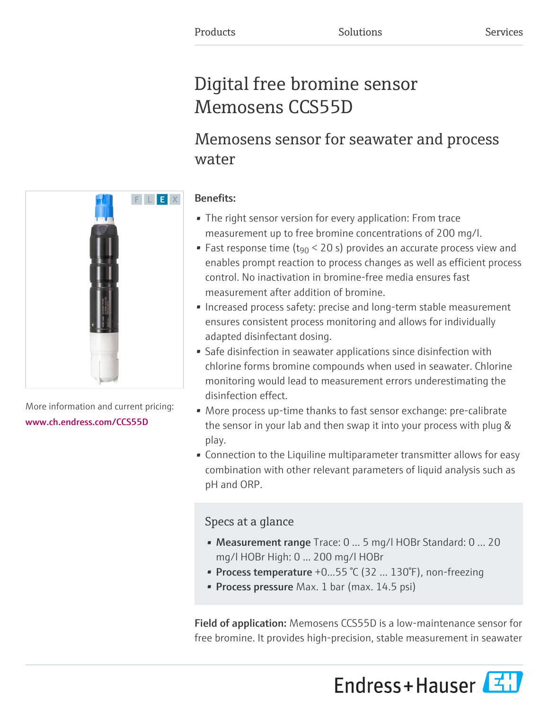# Digital free bromine sensor Memosens CCS55D

# Memosens sensor for seawater and process water

# Benefits:

- The right sensor version for every application: From trace measurement up to free bromine concentrations of 200 mg/l.
- Fast response time (t<sub>90</sub> < 20 s) provides an accurate process view and enables prompt reaction to process changes as well as efficient process control. No inactivation in bromine-free media ensures fast measurement after addition of bromine.
- Increased process safety: precise and long-term stable measurement ensures consistent process monitoring and allows for individually adapted disinfectant dosing.
- Safe disinfection in seawater applications since disinfection with chlorine forms bromine compounds when used in seawater. Chlorine monitoring would lead to measurement errors underestimating the disinfection effect.
- More process up-time thanks to fast sensor exchange: pre-calibrate the sensor in your lab and then swap it into your process with plug & play.
- Connection to the Liquiline multiparameter transmitter allows for easy combination with other relevant parameters of liquid analysis such as pH and ORP.

# Specs at a glance

- Measurement range Trace: 0 ... 5 mg/l HOBr Standard: 0 ... 20 mg/l HOBr High: 0 ... 200 mg/l HOBr
- Process temperature  $+0...55$  °C (32  $...$  130°F), non-freezing
- Process pressure Max. 1 bar (max. 14.5 psi)

Field of application: Memosens CCS55D is a low-maintenance sensor for free bromine. It provides high-precision, stable measurement in seawater





More information and current pricing: [www.ch.endress.com/CCS55D](https://www.ch.endress.com/CCS55D)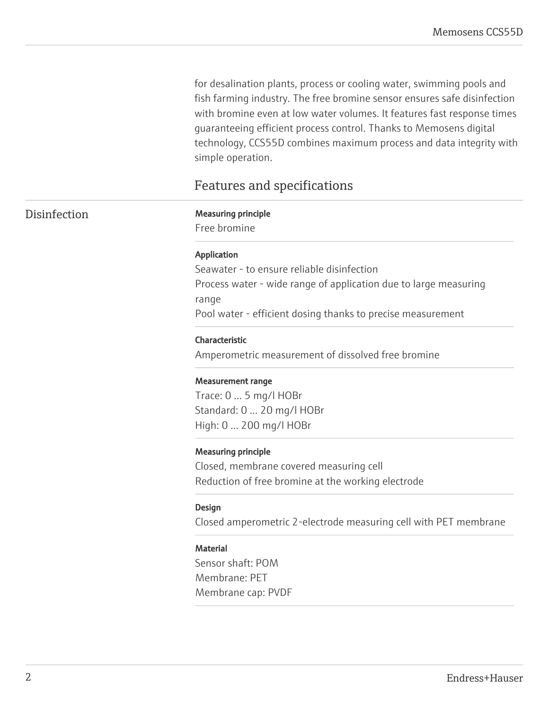for desalination plants, process or cooling water, swimming pools and fish farming industry. The free bromine sensor ensures safe disinfection with bromine even at low water volumes. It features fast response times guaranteeing efficient process control. Thanks to Memosens digital technology, CCS55D combines maximum process and data integrity with simple operation.

# Features and specifications

#### Disinfection Measuring principle

Free bromine

#### Application

Seawater - to ensure reliable disinfection Process water - wide range of application due to large measuring range Pool water - efficient dosing thanks to precise measurement

#### Characteristic

Amperometric measurement of dissolved free bromine

#### Measurement range

Trace: 0 ... 5 mg/l HOBr Standard: 0 ... 20 mg/l HOBr High: 0 ... 200 mg/l HOBr

#### Measuring principle

Closed, membrane covered measuring cell Reduction of free bromine at the working electrode

#### Design

Closed amperometric 2-electrode measuring cell with PET membrane

#### **Material**

Sensor shaft: POM Membrane: PET Membrane cap: PVDF